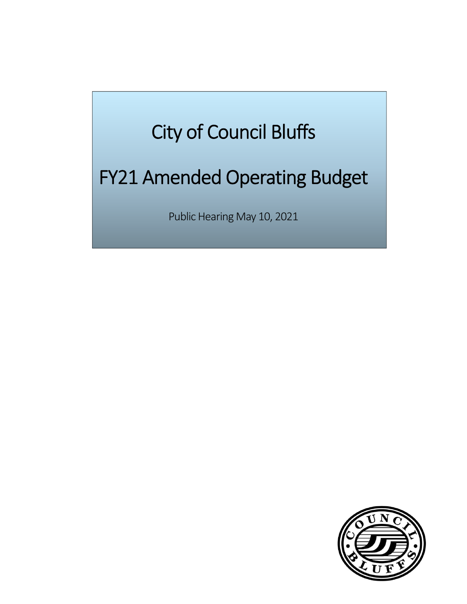# City of Council Bluffs

# FY21 Amended Operating Budget

Public Hearing May 10, 2021

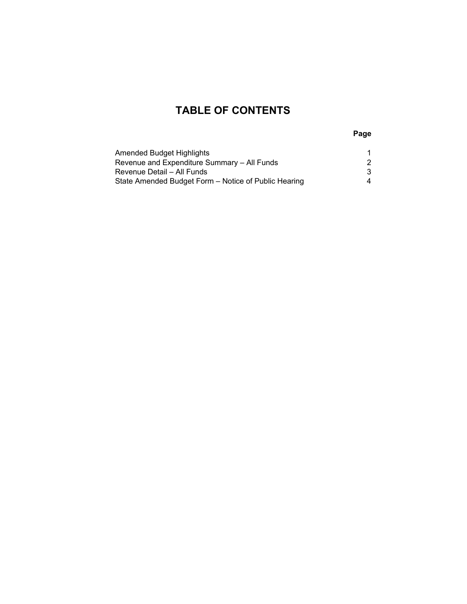#### **TABLE OF CONTENTS**

**Page**

| Amended Budget Highlights                            |  |
|------------------------------------------------------|--|
| Revenue and Expenditure Summary - All Funds          |  |
| Revenue Detail – All Funds                           |  |
| State Amended Budget Form - Notice of Public Hearing |  |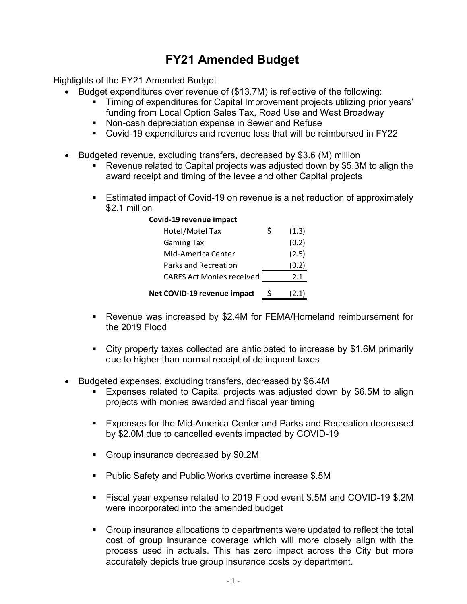### **FY21 Amended Budget**

Highlights of the FY21 Amended Budget

- Budget expenditures over revenue of (\$13.7M) is reflective of the following:
	- Timing of expenditures for Capital Improvement projects utilizing prior years' funding from Local Option Sales Tax, Road Use and West Broadway
	- **Non-cash depreciation expense in Sewer and Refuse**
	- Covid-19 expenditures and revenue loss that will be reimbursed in FY22
- Budgeted revenue, excluding transfers, decreased by \$3.6 (M) million
	- Revenue related to Capital projects was adjusted down by \$5.3M to align the award receipt and timing of the levee and other Capital projects
	- Estimated impact of Covid-19 on revenue is a net reduction of approximately \$2.1 million

| Covid-19 revenue impact          |   |       |
|----------------------------------|---|-------|
| Hotel/Motel Tax                  | Ś | (1.3) |
| <b>Gaming Tax</b>                |   | (0.2) |
| Mid-America Center               |   | (2.5) |
| Parks and Recreation             |   | (0.2) |
| <b>CARES Act Monies received</b> |   | 2.1   |
| Net COVID-19 revenue impact      |   | (2.1) |

- Revenue was increased by \$2.4M for FEMA/Homeland reimbursement for the 2019 Flood
- City property taxes collected are anticipated to increase by \$1.6M primarily due to higher than normal receipt of delinquent taxes
- Budgeted expenses, excluding transfers, decreased by \$6.4M
	- Expenses related to Capital projects was adjusted down by \$6.5M to align projects with monies awarded and fiscal year timing
	- **Expenses for the Mid-America Center and Parks and Recreation decreased** by \$2.0M due to cancelled events impacted by COVID-19
	- Group insurance decreased by \$0.2M
	- Public Safety and Public Works overtime increase \$.5M
	- Fiscal year expense related to 2019 Flood event \$.5M and COVID-19 \$.2M were incorporated into the amended budget
	- Group insurance allocations to departments were updated to reflect the total cost of group insurance coverage which will more closely align with the process used in actuals. This has zero impact across the City but more accurately depicts true group insurance costs by department.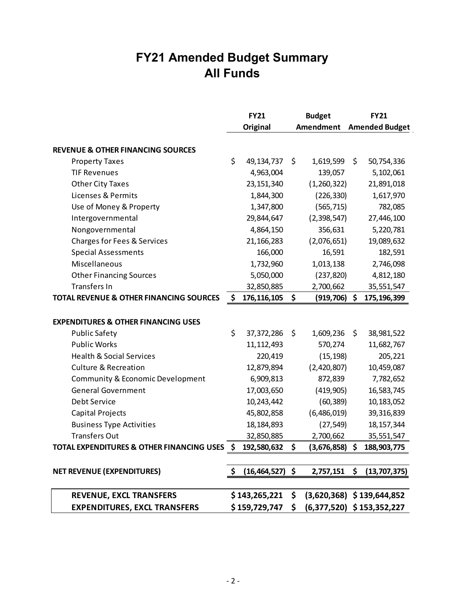### **FY21 Amended Budget Summary All Funds**

|                                                      | <b>FY21</b><br><b>Budget</b> |    | <b>FY21</b>      |    |                             |
|------------------------------------------------------|------------------------------|----|------------------|----|-----------------------------|
|                                                      | <b>Original</b>              |    | <b>Amendment</b> |    | <b>Amended Budget</b>       |
|                                                      |                              |    |                  |    |                             |
| <b>REVENUE &amp; OTHER FINANCING SOURCES</b>         |                              |    |                  |    |                             |
| <b>Property Taxes</b>                                | \$<br>49, 134, 737           | \$ | 1,619,599        | \$ | 50,754,336                  |
| <b>TIF Revenues</b>                                  | 4,963,004                    |    | 139,057          |    | 5,102,061                   |
| <b>Other City Taxes</b>                              | 23, 151, 340                 |    | (1,260,322)      |    | 21,891,018                  |
| Licenses & Permits                                   | 1,844,300                    |    | (226, 330)       |    | 1,617,970                   |
| Use of Money & Property                              | 1,347,800                    |    | (565, 715)       |    | 782,085                     |
| Intergovernmental                                    | 29,844,647                   |    | (2,398,547)      |    | 27,446,100                  |
| Nongovernmental                                      | 4,864,150                    |    | 356,631          |    | 5,220,781                   |
| Charges for Fees & Services                          | 21, 166, 283                 |    | (2,076,651)      |    | 19,089,632                  |
| <b>Special Assessments</b>                           | 166,000                      |    | 16,591           |    | 182,591                     |
| Miscellaneous                                        | 1,732,960                    |    | 1,013,138        |    | 2,746,098                   |
| <b>Other Financing Sources</b>                       | 5,050,000                    |    | (237, 820)       |    | 4,812,180                   |
| <b>Transfers In</b>                                  | 32,850,885                   |    | 2,700,662        |    | 35,551,547                  |
| <b>TOTAL REVENUE &amp; OTHER FINANCING SOURCES</b>   | \$<br>176, 116, 105          | \$ | (919, 706)       | \$ | 175,196,399                 |
|                                                      |                              |    |                  |    |                             |
| <b>EXPENDITURES &amp; OTHER FINANCING USES</b>       |                              |    |                  |    |                             |
| <b>Public Safety</b>                                 | \$<br>37,372,286             | \$ | 1,609,236        | \$ | 38,981,522                  |
| <b>Public Works</b>                                  | 11, 112, 493                 |    | 570,274          |    | 11,682,767                  |
| <b>Health &amp; Social Services</b>                  | 220,419                      |    | (15, 198)        |    | 205,221                     |
| <b>Culture &amp; Recreation</b>                      | 12,879,894                   |    | (2,420,807)      |    | 10,459,087                  |
| Community & Economic Development                     | 6,909,813                    |    | 872,839          |    | 7,782,652                   |
| <b>General Government</b>                            | 17,003,650                   |    | (419,905)        |    | 16,583,745                  |
| Debt Service                                         | 10,243,442                   |    | (60, 389)        |    | 10,183,052                  |
| Capital Projects                                     | 45,802,858                   |    | (6,486,019)      |    | 39,316,839                  |
| <b>Business Type Activities</b>                      | 18, 184, 893                 |    | (27, 549)        |    | 18, 157, 344                |
| <b>Transfers Out</b>                                 | 32,850,885                   |    | 2,700,662        |    | 35,551,547                  |
| <b>TOTAL EXPENDITURES &amp; OTHER FINANCING USES</b> | \$<br>192,580,632            | \$ | (3,676,858)      | \$ | 188,903,775                 |
|                                                      |                              |    |                  |    |                             |
| <b>NET REVENUE (EXPENDITURES)</b>                    | $(16, 464, 527)$ \$          |    | 2,757,151        | \$ | (13,707,375)                |
|                                                      |                              |    |                  |    |                             |
| <b>REVENUE, EXCL TRANSFERS</b>                       | $$143,265,221$ \$            |    |                  |    | $(3,620,368)$ \$139,644,852 |
| <b>EXPENDITURES, EXCL TRANSFERS</b>                  | \$ 159,729,747               | \$ |                  |    | $(6,377,520)$ \$153,352,227 |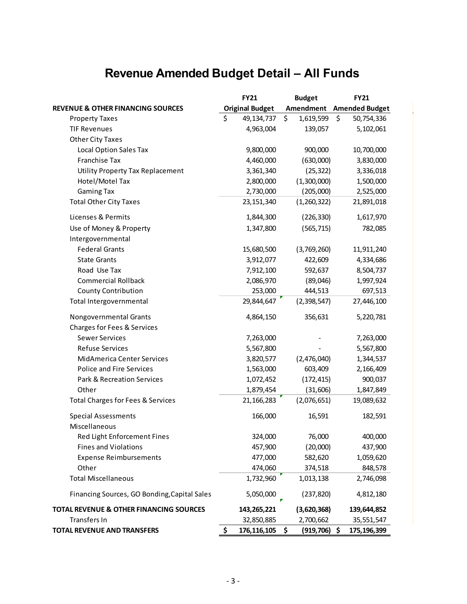## **Revenue Amended Budget Detail – All Funds**

|                                                    | <b>FY21</b>            |     | <b>Budget</b>   | <b>FY21</b>           |
|----------------------------------------------------|------------------------|-----|-----------------|-----------------------|
| <b>REVENUE &amp; OTHER FINANCING SOURCES</b>       | <b>Original Budget</b> |     | Amendment       | <b>Amended Budget</b> |
| <b>Property Taxes</b>                              | \$<br>49,134,737       | \$  | 1,619,599       | \$<br>50,754,336      |
| <b>TIF Revenues</b>                                | 4,963,004              |     | 139,057         | 5,102,061             |
| <b>Other City Taxes</b>                            |                        |     |                 |                       |
| Local Option Sales Tax                             | 9,800,000              |     | 900,000         | 10,700,000            |
| Franchise Tax                                      | 4,460,000              |     | (630,000)       | 3,830,000             |
| Utility Property Tax Replacement                   | 3,361,340              |     | (25, 322)       | 3,336,018             |
| Hotel/Motel Tax                                    | 2,800,000              |     | (1,300,000)     | 1,500,000             |
| <b>Gaming Tax</b>                                  | 2,730,000              |     | (205,000)       | 2,525,000             |
| <b>Total Other City Taxes</b>                      | 23, 151, 340           |     | (1,260,322)     | 21,891,018            |
| Licenses & Permits                                 | 1,844,300              |     | (226, 330)      | 1,617,970             |
| Use of Money & Property                            | 1,347,800              |     | (565, 715)      | 782,085               |
| Intergovernmental                                  |                        |     |                 |                       |
| <b>Federal Grants</b>                              | 15,680,500             |     | (3,769,260)     | 11,911,240            |
| <b>State Grants</b>                                | 3,912,077              |     | 422,609         | 4,334,686             |
| Road Use Tax                                       | 7,912,100              |     | 592,637         | 8,504,737             |
| <b>Commercial Rollback</b>                         | 2,086,970              |     | (89,046)        | 1,997,924             |
| <b>County Contribution</b>                         | 253,000                |     | 444,513         | 697,513               |
| Total Intergovernmental                            | 29,844,647             |     | (2,398,547)     | 27,446,100            |
| Nongovernmental Grants                             | 4,864,150              |     | 356,631         | 5,220,781             |
| Charges for Fees & Services                        |                        |     |                 |                       |
| <b>Sewer Services</b>                              | 7,263,000              |     |                 | 7,263,000             |
| Refuse Services                                    | 5,567,800              |     |                 | 5,567,800             |
| MidAmerica Center Services                         | 3,820,577              |     | (2,476,040)     | 1,344,537             |
| Police and Fire Services                           | 1,563,000              |     | 603,409         | 2,166,409             |
| Park & Recreation Services                         | 1,072,452              |     | (172, 415)      | 900,037               |
| Other                                              | 1,879,454              |     | (31,606)        | 1,847,849             |
| Total Charges for Fees & Services                  | 21, 166, 283           |     | (2,076,651)     | 19,089,632            |
| <b>Special Assessments</b>                         | 166,000                |     | 16,591          | 182,591               |
| Miscellaneous                                      |                        |     |                 |                       |
| Red Light Enforcement Fines                        | 324,000                |     | 76,000          | 400,000               |
| <b>Fines and Violations</b>                        | 457,900                |     | (20,000)        | 437,900               |
| <b>Expense Reimbursements</b>                      | 477,000                |     | 582,620         | 1,059,620             |
| Other                                              | 474,060                |     | 374,518         | 848,578               |
| <b>Total Miscellaneous</b>                         | 1,732,960              |     | 1,013,138       | 2,746,098             |
| Financing Sources, GO Bonding, Capital Sales       | 5,050,000              |     | (237, 820)      | 4,812,180             |
| <b>TOTAL REVENUE &amp; OTHER FINANCING SOURCES</b> | 143,265,221            |     | (3,620,368)     | 139,644,852           |
| Transfers In                                       | 32,850,885             |     | 2,700,662       | 35,551,547            |
| <b>TOTAL REVENUE AND TRANSFERS</b>                 | \$<br>176, 116, 105    | -\$ | $(919, 706)$ \$ | 175,196,399           |